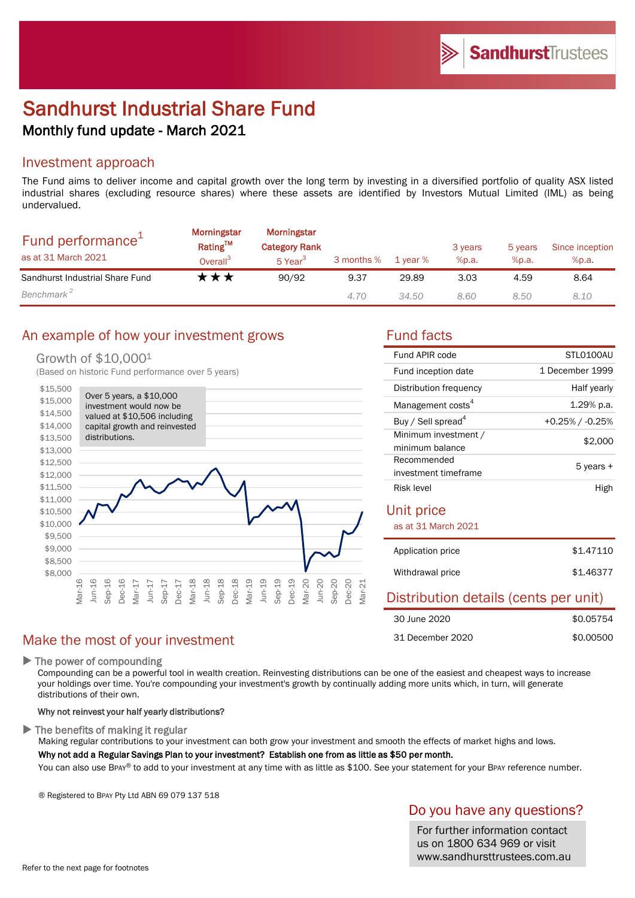# Sandhurst Industrial Share Fund Monthly fund update - March 2021

### Investment approach

The Fund aims to deliver income and capital growth over the long term by investing in a diversified portfolio of quality ASX listed industrial shares (excluding resource shares) where these assets are identified by Investors Mutual Limited (IML) as being undervalued.

| Fund performance <sup>+</sup><br>as at 31 March 2021 | <b>Morningstar</b><br>Rating™<br>Overall <sup>3</sup> | Morningstar<br><b>Category Rank</b><br>5 Year <sup>3</sup> | 3 months % | 1 year % | 3 years<br>%p.a. | 5 years<br>%p.a. | Since inception<br>%p.a. |
|------------------------------------------------------|-------------------------------------------------------|------------------------------------------------------------|------------|----------|------------------|------------------|--------------------------|
| Sandhurst Industrial Share Fund                      | t★★                                                   | 90/92                                                      | 9.37       | 29.89    | 3.03             | 4.59             | 8.64                     |
| Benchmark <sup>2</sup>                               |                                                       |                                                            | 4.70       | 34.50    | 8.60             | 8.50             | 8.10                     |

### An example of how your investment grows Tund facts

### Growth of \$10,0001

(Based on historic Fund performance over 5 years)



## Make the most of your investment

▶ The power of compounding

Compounding can be a powerful tool in wealth creation. Reinvesting distributions can be one of the easiest and cheapest ways to increase your holdings over time. You're compounding your investment's growth by continually adding more units which, in turn, will generate distributions of their own.

### Why not reinvest your half yearly distributions?

 $\blacktriangleright$  The benefits of making it regular

Making regular contributions to your investment can both grow your investment and smooth the effects of market highs and lows. Why not add a Regular Savings Plan to your investment? Establish one from as little as \$50 per month.

You can also use BPAY® to add to your investment at any time with as little as \$100. See your statement for your BPAY reference number.

® Registered to BPAY Pty Ltd ABN 69 079 137 518

### Do you have any questions?

For further information contact us on 1800 634 969 or visit www.sandhursttrustees.com.au

31 December 2020

| Fund APIR code                          | STLO100AU       |  |  |  |
|-----------------------------------------|-----------------|--|--|--|
| Fund inception date                     | 1 December 1999 |  |  |  |
| Distribution frequency                  | Half yearly     |  |  |  |
| Management costs <sup>4</sup>           | 1.29% p.a.      |  |  |  |
| Buy / Sell spread <sup>4</sup>          | +0.25% / -0.25% |  |  |  |
| Minimum investment /<br>minimum balance | \$2,000         |  |  |  |
| Recommended<br>investment timeframe     | 5 years +       |  |  |  |
| Risk level                              | High            |  |  |  |
| Unit price                              |                 |  |  |  |
| as at 31 March 2021                     |                 |  |  |  |
| Application price                       | \$1.47110       |  |  |  |
| Withdrawal price                        | \$1,46377       |  |  |  |
| Distribution details (cents per unit)   |                 |  |  |  |
| 30 June 2020                            | \$0.05754       |  |  |  |

\$0.00500